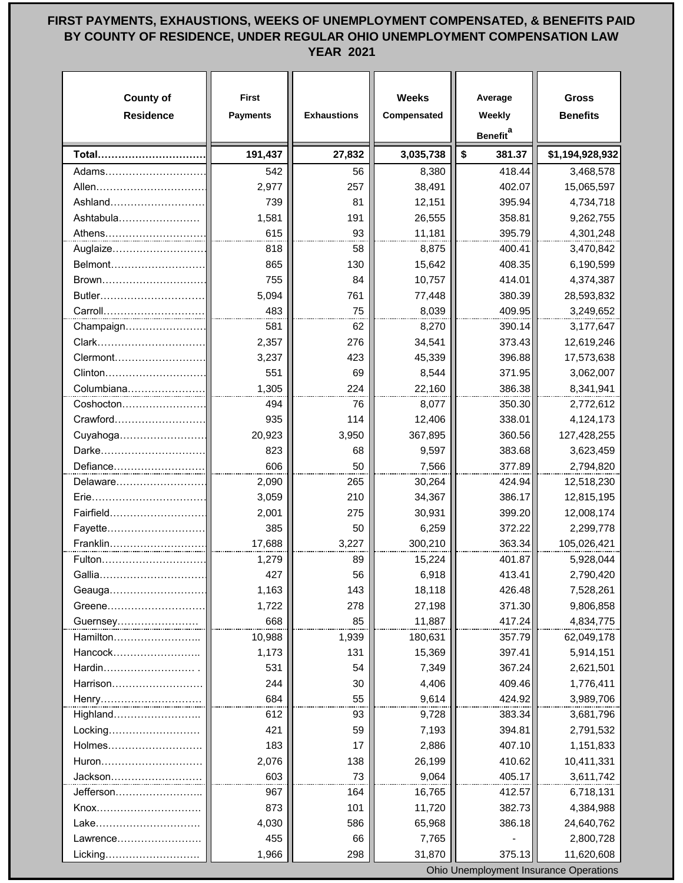## **FIRST PAYMENTS, EXHAUSTIONS, WEEKS OF UNEMPLOYMENT COMPENSATED, & BENEFITS PAID BY COUNTY OF RESIDENCE, UNDER REGULAR OHIO UNEMPLOYMENT COMPENSATION LAW YEAR 2021**

| <b>County of</b><br><b>Residence</b> | <b>First</b><br><b>Payments</b> | <b>Exhaustions</b> | <b>Weeks</b><br>Compensated | Average<br>Weekly<br><b>Benefit</b> <sup>a</sup> | <b>Gross</b><br><b>Benefits</b> |
|--------------------------------------|---------------------------------|--------------------|-----------------------------|--------------------------------------------------|---------------------------------|
|                                      |                                 |                    |                             |                                                  |                                 |
| Total                                | 191,437                         | 27,832             | 3,035,738                   | \$<br>381.37                                     | \$1,194,928,932                 |
| Adams……………………                        | 542                             | 56                 | 8,380                       | 418.44                                           | 3,468,578                       |
| Allen                                | 2,977                           | 257                | 38,491                      | 402.07                                           | 15,065,597                      |
| Ashland                              | 739                             | 81                 | 12,151                      | 395.94                                           | 4,734,718                       |
| Ashtabula                            | 1,581                           | 191                | 26,555                      | 358.81                                           | 9,262,755                       |
| Athens                               | 615                             | 93                 | 11,181                      | 395.79                                           | 4,301,248                       |
| Auglaize                             | 818                             | 58                 | 8,875                       | 400.41                                           | 3,470,842                       |
| Belmont                              | 865                             | 130                | 15,642                      | 408.35                                           | 6,190,599                       |
| Brown<br>Butler                      | 755                             | 84<br>761          | 10,757                      | 414.01<br>380.39                                 | 4,374,387                       |
| Carroll                              | 5,094<br>483                    |                    | 77,448                      |                                                  | 28,593,832                      |
|                                      |                                 | 75                 | 8,039                       | 409.95                                           | 3,249,652                       |
| Champaign                            | 581                             | 62                 | 8,270                       | 390.14                                           | 3,177,647                       |
| Clark                                | 2,357                           | 276                | 34,541                      | 373.43                                           | 12,619,246                      |
| Clermont                             | 3,237                           | 423                | 45,339                      | 396.88                                           | 17,573,638                      |
| Clinton<br>Columbiana                | 551                             | 69<br>224          | 8,544                       | 371.95<br>386.38                                 | 3,062,007                       |
|                                      | 1,305<br>494                    | 76                 | 22,160                      |                                                  | 8,341,941                       |
| Coshocton<br>Crawford                | 935                             | 114                | 8,077                       | 350.30<br>338.01                                 | 2,772,612                       |
| Cuyahoga                             | 20,923                          |                    | 12,406<br>367,895           | 360.56                                           | 4,124,173                       |
| Darke                                | 823                             | 3,950<br>68        |                             |                                                  | 127,428,255                     |
|                                      | 606                             | 50                 | 9,597                       | 383.68                                           | 3,623,459                       |
| Defiance<br>Delaware                 | 2,090                           | 265                | 7,566<br>30,264             | 377.89<br>424.94                                 | 2,794,820<br>12,518,230         |
| Erie                                 | 3,059                           | 210                | 34,367                      | 386.17                                           | 12,815,195                      |
| Fairfield                            | 2,001                           | 275                | 30,931                      | 399.20                                           | 12,008,174                      |
| Fayette                              | 385                             | 50                 | 6,259                       | 372.22                                           | 2,299,778                       |
| Franklin                             | 17,688                          | 3,227              | 300,210                     | 363.34                                           | 105,026,421                     |
| Fulton                               | 1,279                           | 89                 | 15,224                      | 401.87                                           | 5,928,044                       |
| Gallia                               | 427                             | 56                 | 6,918                       | 413.41                                           | 2,790,420                       |
| Geauga                               | 1,163                           | 143                | 18,118                      | 426.48                                           | 7,528,261                       |
| Greene                               | 1,722                           | 278                | 27,198                      | 371.30                                           | 9,806,858                       |
|                                      | 668                             | 85                 | 11,887                      | 417.24                                           | 4,834,775                       |
| Guernsey<br>Hamilton                 | 10,988                          | 1,939              | 180,631                     | 357.79                                           | 62,049,178                      |
| Hancock                              | 1,173                           | 131                | 15,369                      | 397.41                                           | 5,914,151                       |
| Hardin.                              | 531                             | 54                 | 7,349                       | 367.24                                           | 2,621,501                       |
| Harrison                             | 244                             | 30                 | 4,406                       | 409.46                                           | 1,776,411                       |
|                                      | 684                             | 55                 | 9,614                       | 424.92                                           | 3,989,706                       |
| Henry<br>Highland                    | 612                             | 93                 | 9,728                       | 383.34                                           | 3,681,796                       |
| Locking                              | 421                             | 59                 | 7,193                       | 394.81                                           | 2,791,532                       |
| Holmes                               | 183                             | 17                 | 2,886                       | 407.10                                           | 1,151,833                       |
| Huron                                | 2,076                           | 138                | 26,199                      | 410.62                                           | 10,411,331                      |
| Jackson                              | 603                             | 73                 | 9,064                       | 405.17                                           | 3,611,742                       |
| Jefferson                            | 967                             | 164                | 16,765                      | 412.57                                           | 6,718,131                       |
| Knox                                 | 873                             | 101                | 11,720                      | 382.73                                           | 4,384,988                       |
| Lake                                 | 4,030                           | 586                | 65,968                      | 386.18                                           | 24,640,762                      |
| Lawrence                             | 455                             | 66                 | 7,765                       |                                                  | 2,800,728                       |
| Licking                              | 1,966                           | 298                | 31,870                      | 375.13                                           | 11,620,608                      |

Ohio Unemployment Insurance Operations